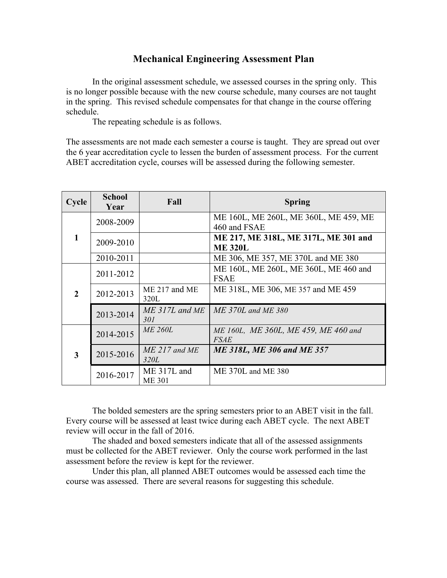## **Mechanical Engineering Assessment Plan**

In the original assessment schedule, we assessed courses in the spring only. This is no longer possible because with the new course schedule, many courses are not taught in the spring. This revised schedule compensates for that change in the course offering schedule.

The repeating schedule is as follows.

The assessments are not made each semester a course is taught. They are spread out over the 6 year accreditation cycle to lessen the burden of assessment process. For the current ABET accreditation cycle, courses will be assessed during the following semester.

| Cycle         | <b>School</b><br>Year | Fall                         | <b>Spring</b>                                          |
|---------------|-----------------------|------------------------------|--------------------------------------------------------|
| 1             | 2008-2009             |                              | ME 160L, ME 260L, ME 360L, ME 459, ME<br>460 and FSAE  |
|               | 2009-2010             |                              | ME 217, ME 318L, ME 317L, ME 301 and<br><b>ME 320L</b> |
|               | 2010-2011             |                              | ME 306, ME 357, ME 370L and ME 380                     |
| $\mathcal{D}$ | 2011-2012             |                              | ME 160L, ME 260L, ME 360L, ME 460 and<br><b>FSAE</b>   |
|               | 2012-2013             | ME 217 and ME<br>320L        | ME 318L, ME 306, ME 357 and ME 459                     |
|               | 2013-2014             | $ME$ 317L and $ME$<br>301    | $ME$ 370L and ME 380                                   |
| 3             | 2014-2015             | <i>ME 260L</i>               | ME 160L, ME 360L, ME 459, ME 460 and<br><b>FSAE</b>    |
|               | 2015-2016             | ME 217 and ME<br>320L        | <b>ME 318L, ME 306 and ME 357</b>                      |
|               | 2016-2017             | ME 317L and<br><b>ME 301</b> | ME 370L and ME 380                                     |

The bolded semesters are the spring semesters prior to an ABET visit in the fall. Every course will be assessed at least twice during each ABET cycle. The next ABET review will occur in the fall of 2016.

The shaded and boxed semesters indicate that all of the assessed assignments must be collected for the ABET reviewer. Only the course work performed in the last assessment before the review is kept for the reviewer.

Under this plan, all planned ABET outcomes would be assessed each time the course was assessed. There are several reasons for suggesting this schedule.